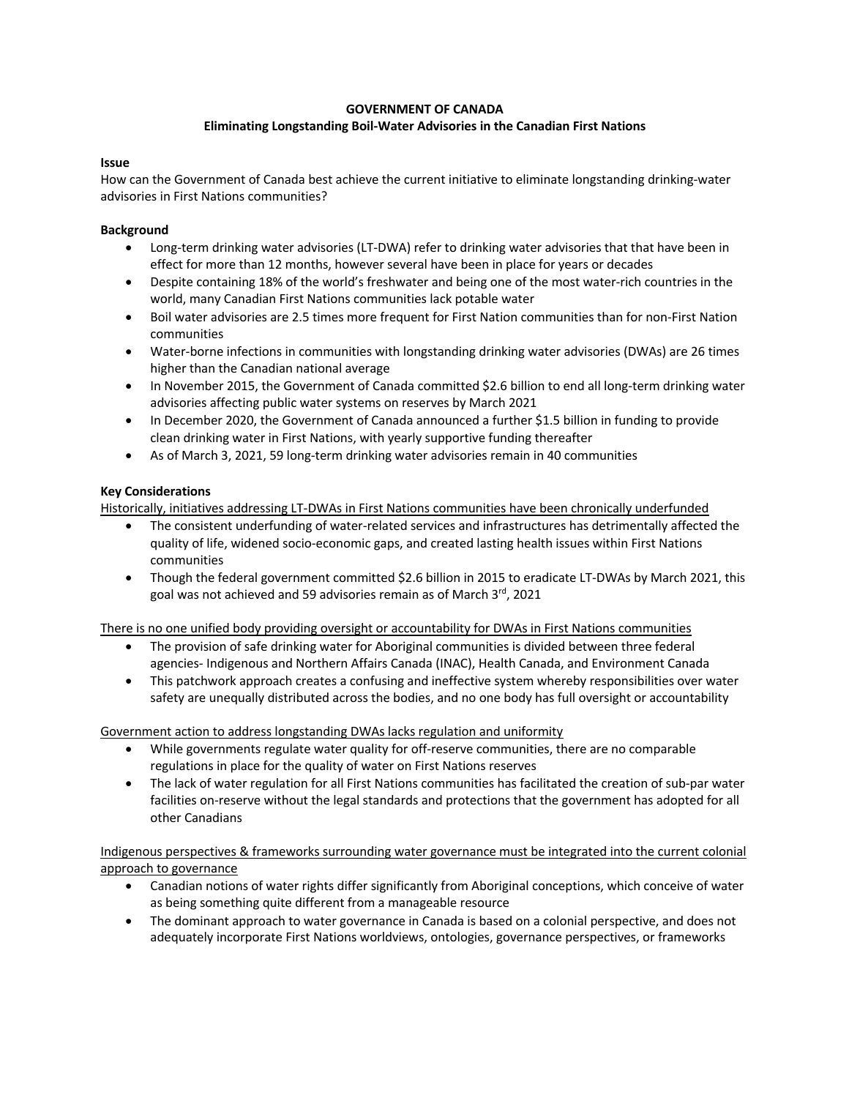# **GOVERNMENT OF CANADA**

# **Eliminating Longstanding Boil-Water Advisories in the Canadian First Nations**

### **Issue**

How can the Government of Canada best achieve the current initiative to eliminate longstanding drinking-water advisories in First Nations communities?

### **Background**

- Long-term drinking water advisories (LT-DWA) refer to drinking water advisories that that have been in effect for more than 12 months, however several have been in place for years or decades
- Despite containing 18% of the world's freshwater and being one of the most water-rich countries in the world, many Canadian First Nations communities lack potable water
- Boil water advisories are 2.5 times more frequent for First Nation communities than for non-First Nation communities
- Water-borne infections in communities with longstanding drinking water advisories (DWAs) are 26 times higher than the Canadian national average
- In November 2015, the Government of Canada committed \$2.6 billion to end all long-term drinking water advisories affecting public water systems on reserves by March 2021
- In December 2020, the Government of Canada announced a further \$1.5 billion in funding to provide clean drinking water in First Nations, with yearly supportive funding thereafter
- As of March 3, 2021, 59 long-term drinking water advisories remain in 40 communities

## **Key Considerations**

Historically, initiatives addressing LT-DWAs in First Nations communities have been chronically underfunded

- The consistent underfunding of water-related services and infrastructures has detrimentally affected the quality of life, widened socio-economic gaps, and created lasting health issues within First Nations communities
- Though the federal government committed \$2.6 billion in 2015 to eradicate LT-DWAs by March 2021, this goal was not achieved and 59 advisories remain as of March 3rd, 2021

There is no one unified body providing oversight or accountability for DWAs in First Nations communities

- The provision of safe drinking water for Aboriginal communities is divided between three federal agencies- Indigenous and Northern Affairs Canada (INAC), Health Canada, and Environment Canada
- This patchwork approach creates a confusing and ineffective system whereby responsibilities over water safety are unequally distributed across the bodies, and no one body has full oversight or accountability

Government action to address longstanding DWAs lacks regulation and uniformity

- While governments regulate water quality for off-reserve communities, there are no comparable regulations in place for the quality of water on First Nations reserves
- The lack of water regulation for all First Nations communities has facilitated the creation of sub-par water facilities on-reserve without the legal standards and protections that the government has adopted for all other Canadians

Indigenous perspectives & frameworks surrounding water governance must be integrated into the current colonial approach to governance

- Canadian notions of water rights differ significantly from Aboriginal conceptions, which conceive of water as being something quite different from a manageable resource
- The dominant approach to water governance in Canada is based on a colonial perspective, and does not adequately incorporate First Nations worldviews, ontologies, governance perspectives, or frameworks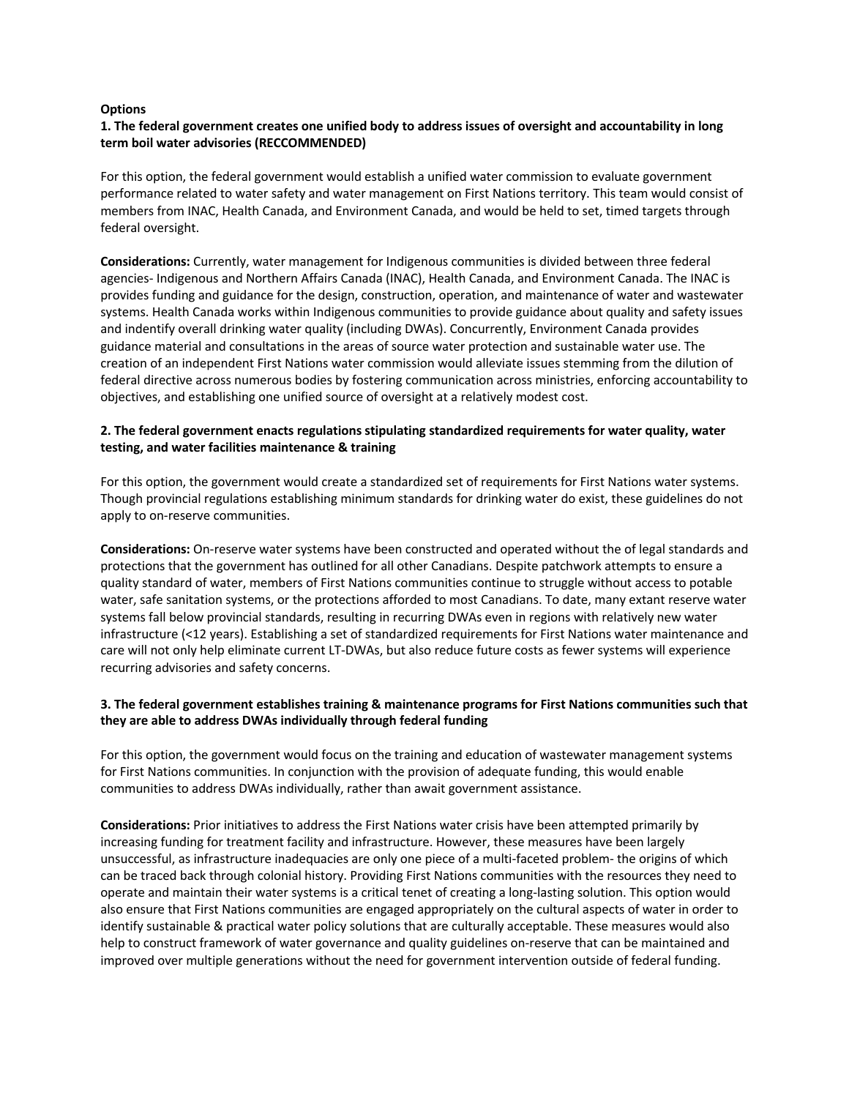### **Options**

## **1. The federal government creates one unified body to address issues of oversight and accountability in long term boil water advisories (RECCOMMENDED)**

For this option, the federal government would establish a unified water commission to evaluate government performance related to water safety and water management on First Nations territory. This team would consist of members from INAC, Health Canada, and Environment Canada, and would be held to set, timed targets through federal oversight.

**Considerations:** Currently, water management for Indigenous communities is divided between three federal agencies- Indigenous and Northern Affairs Canada (INAC), Health Canada, and Environment Canada. The INAC is provides funding and guidance for the design, construction, operation, and maintenance of water and wastewater systems. Health Canada works within Indigenous communities to provide guidance about quality and safety issues and indentify overall drinking water quality (including DWAs). Concurrently, Environment Canada provides guidance material and consultations in the areas of source water protection and sustainable water use. The creation of an independent First Nations water commission would alleviate issues stemming from the dilution of federal directive across numerous bodies by fostering communication across ministries, enforcing accountability to objectives, and establishing one unified source of oversight at a relatively modest cost.

# **2. The federal government enacts regulations stipulating standardized requirements for water quality, water testing, and water facilities maintenance & training**

For this option, the government would create a standardized set of requirements for First Nations water systems. Though provincial regulations establishing minimum standards for drinking water do exist, these guidelines do not apply to on-reserve communities.

**Considerations:** On-reserve water systems have been constructed and operated without the of legal standards and protections that the government has outlined for all other Canadians. Despite patchwork attempts to ensure a quality standard of water, members of First Nations communities continue to struggle without access to potable water, safe sanitation systems, or the protections afforded to most Canadians. To date, many extant reserve water systems fall below provincial standards, resulting in recurring DWAs even in regions with relatively new water infrastructure (<12 years). Establishing a set of standardized requirements for First Nations water maintenance and care will not only help eliminate current LT-DWAs, but also reduce future costs as fewer systems will experience recurring advisories and safety concerns.

## **3. The federal government establishes training & maintenance programs for First Nations communities such that they are able to address DWAs individually through federal funding**

For this option, the government would focus on the training and education of wastewater management systems for First Nations communities. In conjunction with the provision of adequate funding, this would enable communities to address DWAs individually, rather than await government assistance.

**Considerations:** Prior initiatives to address the First Nations water crisis have been attempted primarily by increasing funding for treatment facility and infrastructure. However, these measures have been largely unsuccessful, as infrastructure inadequacies are only one piece of a multi-faceted problem- the origins of which can be traced back through colonial history. Providing First Nations communities with the resources they need to operate and maintain their water systems is a critical tenet of creating a long-lasting solution. This option would also ensure that First Nations communities are engaged appropriately on the cultural aspects of water in order to identify sustainable & practical water policy solutions that are culturally acceptable. These measures would also help to construct framework of water governance and quality guidelines on-reserve that can be maintained and improved over multiple generations without the need for government intervention outside of federal funding.